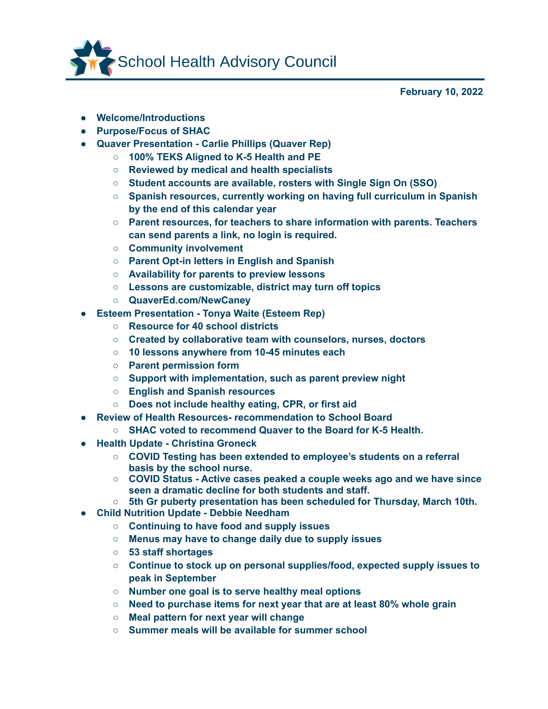

**February 10, 2022**

- **● Welcome/Introductions**
- **● Purpose/Focus of SHAC**
- **● Quaver Presentation - Carlie Phillips (Quaver Rep)**
	- **○ 100% TEKS Aligned to K-5 Health and PE**
		- **○ Reviewed by medical and health specialists**
		- **○ Student accounts are available, rosters with Single Sign On (SSO)**
		- **○ Spanish resources, currently working on having full curriculum in Spanish by the end of this calendar year**
		- **○ Parent resources, for teachers to share information with parents. Teachers can send parents a link, no login is required.**
		- **○ Community involvement**
		- **○ Parent Opt-in letters in English and Spanish**
		- **○ Availability for parents to preview lessons**
		- **○ Lessons are customizable, district may turn off topics**
		- **○ QuaverEd.com/NewCaney**
- **● Esteem Presentation - Tonya Waite (Esteem Rep)**
	- **○ Resource for 40 school districts**
	- **○ Created by collaborative team with counselors, nurses, doctors**
	- **○ 10 lessons anywhere from 10-45 minutes each**
	- **○ Parent permission form**
	- **○ Support with implementation, such as parent preview night**
	- **○ English and Spanish resources**
	- **○ Does not include healthy eating, CPR, or first aid**
- **● Review of Health Resources- recommendation to School Board**
	- **○ SHAC voted to recommend Quaver to the Board for K-5 Health.**
- **● Health Update - Christina Groneck**
	- **○ COVID Testing has been extended to employee's students on a referral basis by the school nurse.**
	- **○ COVID Status - Active cases peaked a couple weeks ago and we have since seen a dramatic decline for both students and staff.**
	- **○ 5th Gr puberty presentation has been scheduled for Thursday, March 10th.**
- **● Child Nutrition Update - Debbie Needham**
	- **○ Continuing to have food and supply issues**
	- **○ Menus may have to change daily due to supply issues**
	- **○ 53 staff shortages**
	- **○ Continue to stock up on personal supplies/food, expected supply issues to peak in September**
	- **○ Number one goal is to serve healthy meal options**
	- **○ Need to purchase items for next year that are at least 80% whole grain**
	- **○ Meal pattern for next year will change**
	- **○ Summer meals will be available for summer school**